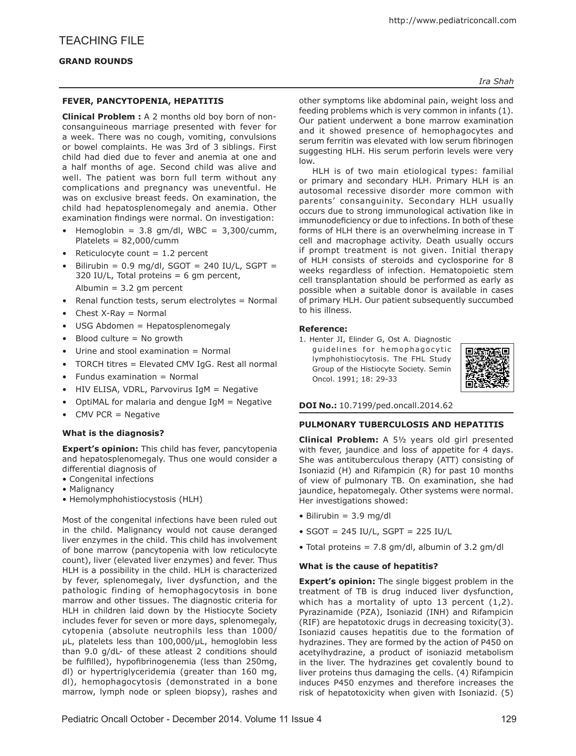#### **FEVER, PANCYTOPENIA, HEPATITIS**

**Clinical Problem :** A 2 months old boy born of nonconsanguineous marriage presented with fever for a week. There was no cough, vomiting, convulsions or bowel complaints. He was 3rd of 3 siblings. First child had died due to fever and anemia at one and a half months of age. Second child was alive and well. The patient was born full term without any complications and pregnancy was uneventful. He was on exclusive breast feeds. On examination, the child had hepatosplenomegaly and anemia. Other examination findings were normal. On investigation:

- Hemoglobin =  $3.8 \text{ gm/dl}$ , WBC =  $3,300/\text{cum}$ , Platelets = 82,000/cumm
- Reticulocyte count  $= 1.2$  percent
- Bilirubin =  $0.9$  mg/dl, SGOT = 240 IU/L, SGPT = 320 IU/L, Total proteins  $= 6$  gm percent, Albumin  $= 3.2$  gm percent
- Renal function tests, serum electrolytes = Normal
- Chest  $X-Ray = Normal$
- USG Abdomen = Hepatosplenomegaly
- Blood culture = No growth
- Urine and stool examination = Normal
- TORCH titres = Elevated CMV IgG. Rest all normal
- Fundus examination = Normal
- HIV ELISA, VDRL, Parvovirus IgM = Negative
- OptiMAL for malaria and dengue  $IgM = Negative$
- CMV PCR  $=$  Negative

# **What is the diagnosis?**

**Expert's opinion:** This child has fever, pancytopenia and hepatosplenomegaly. Thus one would consider a differential diagnosis of

- Congenital infections
- Malignancy
- Hemolymphohistiocystosis (HLH)

Most of the congenital infections have been ruled out in the child. Malignancy would not cause deranged liver enzymes in the child. This child has involvement of bone marrow (pancytopenia with low reticulocyte count), liver (elevated liver enzymes) and fever. Thus HLH is a possibility in the child. HLH is characterized by fever, splenomegaly, liver dysfunction, and the pathologic finding of hemophagocytosis in bone marrow and other tissues. The diagnostic criteria for HLH in children laid down by the Histiocyte Society includes fever for seven or more days, splenomegaly, cytopenia (absolute neutrophils less than 1000/ µL, platelets less than 100,000/µL, hemoglobin less than 9.0 g/dL- of these atleast 2 conditions should be fulfilled), hypofibrinogenemia (less than 250mg, dl) or hypertriglyceridemia (greater than 160 mg, dl), hemophagocytosis (demonstrated in a bone marrow, lymph node or spleen biopsy), rashes and

*Ira Shah*

other symptoms like abdominal pain, weight loss and feeding problems which is very common in infants (1). Our patient underwent a bone marrow examination and it showed presence of hemophagocytes and serum ferritin was elevated with low serum fibrinogen suggesting HLH. His serum perforin levels were very low.

HLH is of two main etiological types: familial or primary and secondary HLH. Primary HLH is an autosomal recessive disorder more common with parents' consanguinity. Secondary HLH usually occurs due to strong immunological activation like in immunodeficiency or due to infections. In both of these forms of HLH there is an overwhelming increase in T cell and macrophage activity. Death usually occurs if prompt treatment is not given. Initial therapy of HLH consists of steroids and cyclosporine for 8 weeks regardless of infection. Hematopoietic stem cell transplantation should be performed as early as possible when a suitable donor is available in cases of primary HLH. Our patient subsequently succumbed to his illness.

#### **Reference:**

1. Henter JI, Elinder G, Ost A. Diagnostic guidelines for hemophagocytic lymphohistiocytosis. The FHL Study Group of the Histiocyte Society. Semin Oncol. 1991; 18: 29-33



# **DOI No.:** 10.7199/ped.oncall.2014.62

# **PULMONARY TUBERCULOSIS AND HEPATITIS**

**Clinical Problem:** A 5½ years old girl presented with fever, jaundice and loss of appetite for 4 days. She was antituberculous therapy (ATT) consisting of Isoniazid (H) and Rifampicin (R) for past 10 months of view of pulmonary TB. On examination, she had jaundice, hepatomegaly. Other systems were normal. Her investigations showed:

- $\bullet$  Bilirubin = 3.9 mg/dl
- $\bullet$  SGOT = 245 IU/L, SGPT = 225 IU/L
- Total proteins = 7.8 gm/dl, albumin of 3.2 gm/dl

# **What is the cause of hepatitis?**

**Expert's opinion:** The single biggest problem in the treatment of TB is drug induced liver dysfunction, which has a mortality of upto 13 percent (1,2). Pyrazinamide (PZA), Isoniazid (INH) and Rifampicin (RIF) are hepatotoxic drugs in decreasing toxicity(3). Isoniazid causes hepatitis due to the formation of hydrazines. They are formed by the action of P450 on acetylhydrazine, a product of isoniazid metabolism in the liver. The hydrazines get covalently bound to liver proteins thus damaging the cells. (4) Rifampicin induces P450 enzymes and therefore increases the risk of hepatotoxicity when given with Isoniazid. (5)